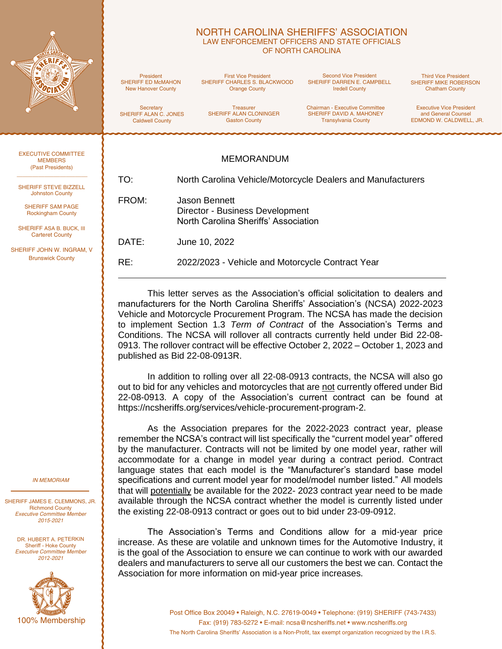

### NORTH CAROLINA SHERIFFS' ASSOCIATION LAW ENFORCEMENT OFFICERS AND STATE OFFICIALS OF NORTH CAROLINA

President SHERIFF ED McMAHON New Hanover County

First Vice President SHERIFF CHARLES S. BLACKWOOD Orange County

Second Vice President SHERIFF DARREN E. CAMPBELL Iredell County

Third Vice President SHERIFF MIKE ROBERSON Chatham County

**Secretary** SHERIFF ALAN C. JONES Caldwell County

Treasurer SHERIFF ALAN CLONINGER Gaston County

Chairman - Executive Committee SHERIFF DAVID A. MAHONEY Transylvania County

Executive Vice President and General Counsel EDMOND W. CALDWELL, JR.

#### EXECUTIVE COMMITTEE **MEMBERS** (Past Presidents)

SHERIFF STEVE BIZZELL Johnston County

SHERIFF SAM PAGE Rockingham County

SHERIFF ASA B. BUCK, III Carteret County

SHERIFF JOHN W. INGRAM, V. Brunswick County

#### *IN MEMORIAM*

SHERIFF JAMES E. CLEMMONS, JR. Richmond County *Executive Committee Member 2015-2021*

DR. HUBERT A. PETERKIN Sheriff - Hoke County *Executive Committee Member 2012-2021*



# MEMORANDUM

TO: North Carolina Vehicle/Motorcycle Dealers and Manufacturers

FROM: Jason Bennett Director - Business Development North Carolina Sheriffs' Association

DATE: June 10, 2022

RE: 2022/2023 - Vehicle and Motorcycle Contract Year

This letter serves as the Association's official solicitation to dealers and manufacturers for the North Carolina Sheriffs' Association's (NCSA) 2022-2023 Vehicle and Motorcycle Procurement Program. The NCSA has made the decision to implement Section 1.3 *Term of Contract* of the Association's Terms and Conditions. The NCSA will rollover all contracts currently held under Bid 22-08- 0913. The rollover contract will be effective October 2, 2022 – October 1, 2023 and published as Bid 22-08-0913R.

In addition to rolling over all 22-08-0913 contracts, the NCSA will also go out to bid for any vehicles and motorcycles that are not currently offered under Bid 22-08-0913. A copy of the Association's current contract can be found at https://ncsheriffs.org/services/vehicle-procurement-program-2.

As the Association prepares for the 2022-2023 contract year, please remember the NCSA's contract will list specifically the "current model year" offered by the manufacturer. Contracts will not be limited by one model year, rather will accommodate for a change in model year during a contract period. Contract language states that each model is the "Manufacturer's standard base model specifications and current model year for model/model number listed." All models that will potentially be available for the 2022- 2023 contract year need to be made available through the NCSA contract whether the model is currently listed under the existing 22-08-0913 contract or goes out to bid under 23-09-0912.

The Association's Terms and Conditions allow for a mid-year price increase. As these are volatile and unknown times for the Automotive Industry, it is the goal of the Association to ensure we can continue to work with our awarded dealers and manufacturers to serve all our customers the best we can. Contact the Association for more information on mid-year price increases.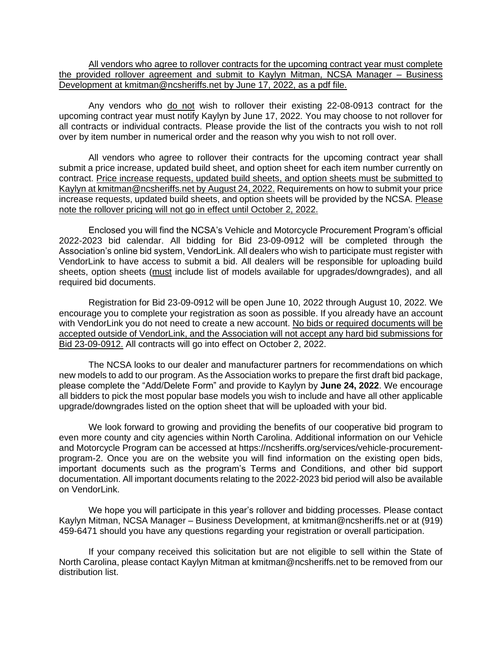All vendors who agree to rollover contracts for the upcoming contract year must complete the provided rollover agreement and submit to Kaylyn Mitman, NCSA Manager – Business Development at kmitman@ncsheriffs.net by June 17, 2022, as a pdf file.

Any vendors who do not wish to rollover their existing 22-08-0913 contract for the upcoming contract year must notify Kaylyn by June 17, 2022. You may choose to not rollover for all contracts or individual contracts. Please provide the list of the contracts you wish to not roll over by item number in numerical order and the reason why you wish to not roll over.

All vendors who agree to rollover their contracts for the upcoming contract year shall submit a price increase, updated build sheet, and option sheet for each item number currently on contract. Price increase requests, updated build sheets, and option sheets must be submitted to Kaylyn at kmitman@ncsheriffs.net by August 24, 2022. Requirements on how to submit your price increase requests, updated build sheets, and option sheets will be provided by the NCSA. Please note the rollover pricing will not go in effect until October 2, 2022.

Enclosed you will find the NCSA's Vehicle and Motorcycle Procurement Program's official 2022-2023 bid calendar. All bidding for Bid 23-09-0912 will be completed through the Association's online bid system, VendorLink. All dealers who wish to participate must register with VendorLink to have access to submit a bid. All dealers will be responsible for uploading build sheets, option sheets (must include list of models available for upgrades/downgrades), and all required bid documents.

Registration for Bid 23-09-0912 will be open June 10, 2022 through August 10, 2022. We encourage you to complete your registration as soon as possible. If you already have an account with VendorLink you do not need to create a new account. No bids or required documents will be accepted outside of VendorLink, and the Association will not accept any hard bid submissions for Bid 23-09-0912. All contracts will go into effect on October 2, 2022.

The NCSA looks to our dealer and manufacturer partners for recommendations on which new models to add to our program. As the Association works to prepare the first draft bid package, please complete the "Add/Delete Form" and provide to Kaylyn by **June 24, 2022**. We encourage all bidders to pick the most popular base models you wish to include and have all other applicable upgrade/downgrades listed on the option sheet that will be uploaded with your bid.

We look forward to growing and providing the benefits of our cooperative bid program to even more county and city agencies within North Carolina. Additional information on our Vehicle and Motorcycle Program can be accessed at https://ncsheriffs.org/services/vehicle-procurementprogram-2. Once you are on the website you will find information on the existing open bids, important documents such as the program's Terms and Conditions, and other bid support documentation. All important documents relating to the 2022-2023 bid period will also be available on VendorLink.

We hope you will participate in this year's rollover and bidding processes. Please contact Kaylyn Mitman, NCSA Manager – Business Development, at kmitman@ncsheriffs.net or at (919) 459-6471 should you have any questions regarding your registration or overall participation.

If your company received this solicitation but are not eligible to sell within the State of North Carolina, please contact Kaylyn Mitman at kmitman@ncsheriffs.net to be removed from our distribution list.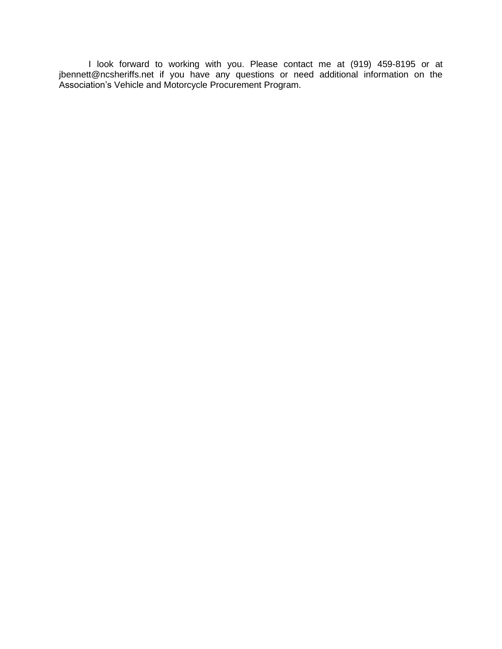I look forward to working with you. Please contact me at (919) 459-8195 or at jbennett@ncsheriffs.net if you have any questions or need additional information on the Association's Vehicle and Motorcycle Procurement Program.